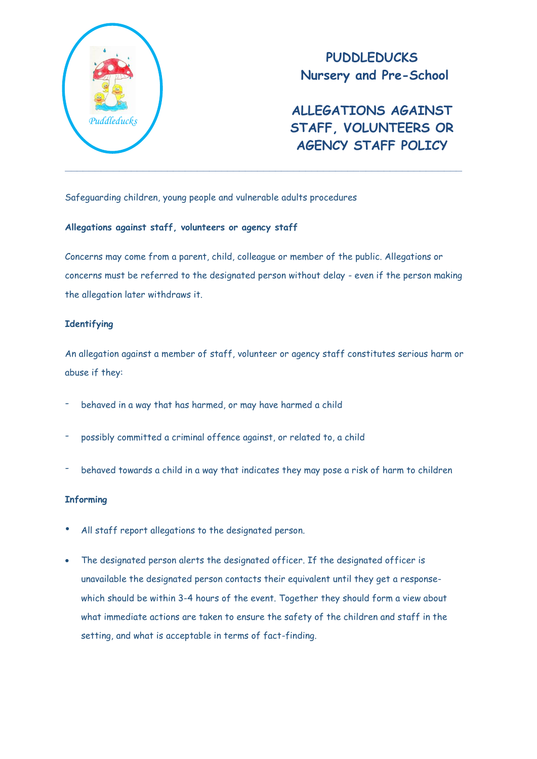

**PUDDLEDUCKS Nursery and Pre-School**

**ALLEGATIONS AGAINST STAFF, VOLUNTEERS OR AGENCY STAFF POLICY**

Safeguarding children, young people and vulnerable adults procedures

#### **Allegations against staff, volunteers or agency staff**

Concerns may come from a parent, child, colleague or member of the public. Allegations or concerns must be referred to the designated person without delay - even if the person making the allegation later withdraws it.

# **Identifying**

An allegation against a member of staff, volunteer or agency staff constitutes serious harm or abuse if they:

- behaved in a way that has harmed, or may have harmed a child
- possibly committed a criminal offence against, or related to, a child
- behaved towards a child in a way that indicates they may pose a risk of harm to children

# **Informing**

- All staff report allegations to the designated person.
- The designated person alerts the designated officer. If the designated officer is unavailable the designated person contacts their equivalent until they get a responsewhich should be within 3-4 hours of the event. Together they should form a view about what immediate actions are taken to ensure the safety of the children and staff in the setting, and what is acceptable in terms of fact-finding.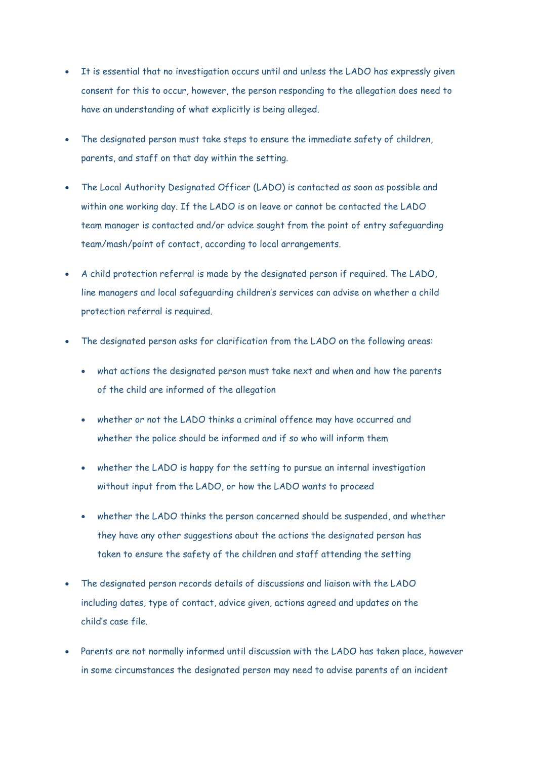- It is essential that no investigation occurs until and unless the LADO has expressly given consent for this to occur, however, the person responding to the allegation does need to have an understanding of what explicitly is being alleged.
- The designated person must take steps to ensure the immediate safety of children, parents, and staff on that day within the setting.
- The Local Authority Designated Officer (LADO) is contacted as soon as possible and within one working day. If the LADO is on leave or cannot be contacted the LADO team manager is contacted and/or advice sought from the point of entry safeguarding team/mash/point of contact, according to local arrangements.
- A child protection referral is made by the designated person if required. The LADO, line managers and local safeguarding children's services can advise on whether a child protection referral is required.
- The designated person asks for clarification from the LADO on the following areas:
	- what actions the designated person must take next and when and how the parents of the child are informed of the allegation
	- whether or not the LADO thinks a criminal offence may have occurred and whether the police should be informed and if so who will inform them
	- whether the LADO is happy for the setting to pursue an internal investigation without input from the LADO, or how the LADO wants to proceed
	- whether the LADO thinks the person concerned should be suspended, and whether they have any other suggestions about the actions the designated person has taken to ensure the safety of the children and staff attending the setting
- The designated person records details of discussions and liaison with the LADO including dates, type of contact, advice given, actions agreed and updates on the child's case file.
- Parents are not normally informed until discussion with the LADO has taken place, however in some circumstances the designated person may need to advise parents of an incident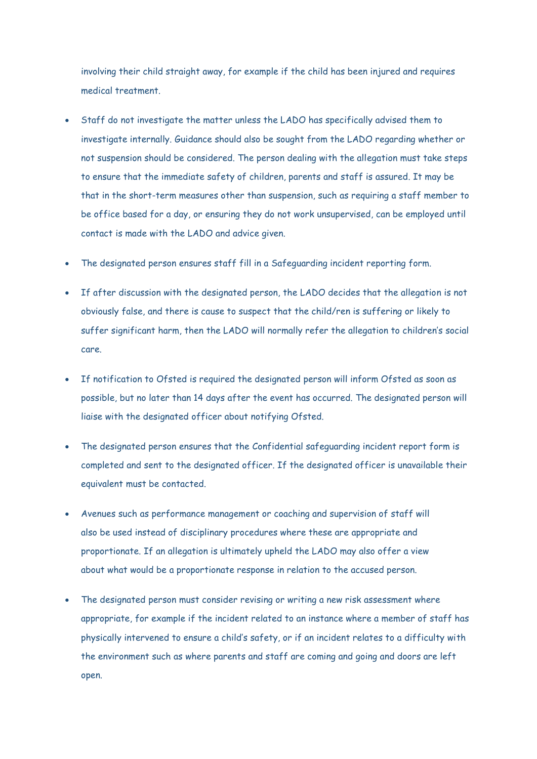involving their child straight away, for example if the child has been injured and requires medical treatment.

- Staff do not investigate the matter unless the LADO has specifically advised them to investigate internally. Guidance should also be sought from the LADO regarding whether or not suspension should be considered. The person dealing with the allegation must take steps to ensure that the immediate safety of children, parents and staff is assured. It may be that in the short-term measures other than suspension, such as requiring a staff member to be office based for a day, or ensuring they do not work unsupervised, can be employed until contact is made with the LADO and advice given.
- The designated person ensures staff fill in a Safeguarding incident reporting form.
- If after discussion with the designated person, the LADO decides that the allegation is not obviously false, and there is cause to suspect that the child/ren is suffering or likely to suffer significant harm, then the LADO will normally refer the allegation to children's social care.
- If notification to Ofsted is required the designated person will inform Ofsted as soon as possible, but no later than 14 days after the event has occurred. The designated person will liaise with the designated officer about notifying Ofsted.
- The designated person ensures that the Confidential safeguarding incident report form is completed and sent to the designated officer. If the designated officer is unavailable their equivalent must be contacted.
- Avenues such as performance management or coaching and supervision of staff will also be used instead of disciplinary procedures where these are appropriate and proportionate. If an allegation is ultimately upheld the LADO may also offer a view about what would be a proportionate response in relation to the accused person.
- The designated person must consider revising or writing a new risk assessment where appropriate, for example if the incident related to an instance where a member of staff has physically intervened to ensure a child's safety, or if an incident relates to a difficulty with the environment such as where parents and staff are coming and going and doors are left open.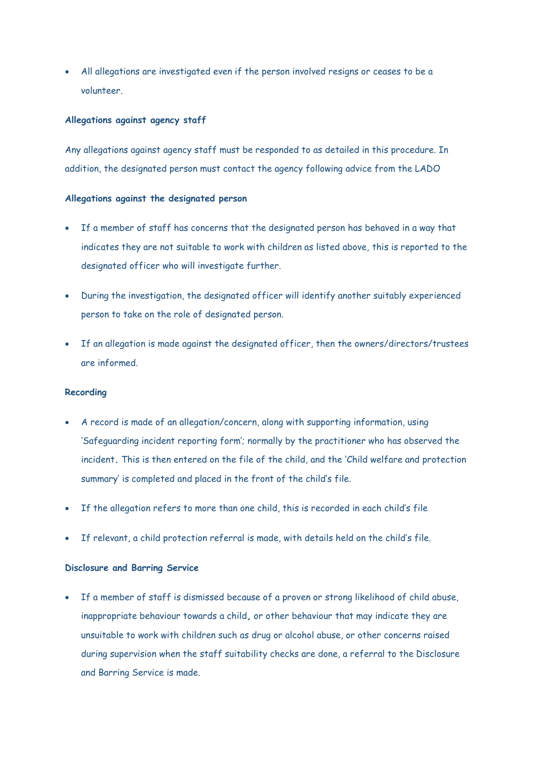All allegations are investigated even if the person involved resigns or ceases to be a volunteer.

#### **Allegations against agency staff**

Any allegations against agency staff must be responded to as detailed in this procedure. In addition, the designated person must contact the agency following advice from the LADO

# **Allegations against the designated person**

- If a member of staff has concerns that the designated person has behaved in a way that indicates they are not suitable to work with children as listed above, this is reported to the designated officer who will investigate further.
- During the investigation, the designated officer will identify another suitably experienced person to take on the role of designated person.
- If an allegation is made against the designated officer, then the owners/directors/trustees are informed.

#### **Recording**

- A record is made of an allegation/concern, along with supporting information, using 'Safeguarding incident reporting form'; normally by the practitioner who has observed the incident**.** This is then entered on the file of the child, and the 'Child welfare and protection summary' is completed and placed in the front of the child's file.
- If the allegation refers to more than one child, this is recorded in each child's file
- If relevant, a child protection referral is made, with details held on the child's file.

# **Disclosure and Barring Service**

 If a member of staff is dismissed because of a proven or strong likelihood of child abuse, inappropriate behaviour towards a child**,** or other behaviour that may indicate they are unsuitable to work with children such as drug or alcohol abuse, or other concerns raised during supervision when the staff suitability checks are done, a referral to the Disclosure and Barring Service is made.